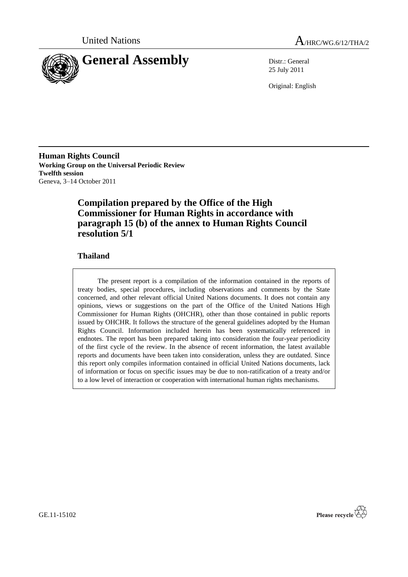



25 July 2011

Original: English

**Human Rights Council Working Group on the Universal Periodic Review Twelfth session** Geneva, 3–14 October 2011

# **Compilation prepared by the Office of the High Commissioner for Human Rights in accordance with paragraph 15 (b) of the annex to Human Rights Council resolution 5/1**

# **Thailand**

The present report is a compilation of the information contained in the reports of treaty bodies, special procedures, including observations and comments by the State concerned, and other relevant official United Nations documents. It does not contain any opinions, views or suggestions on the part of the Office of the United Nations High Commissioner for Human Rights (OHCHR), other than those contained in public reports issued by OHCHR. It follows the structure of the general guidelines adopted by the Human Rights Council. Information included herein has been systematically referenced in endnotes. The report has been prepared taking into consideration the four-year periodicity of the first cycle of the review. In the absence of recent information, the latest available reports and documents have been taken into consideration, unless they are outdated. Since this report only compiles information contained in official United Nations documents, lack of information or focus on specific issues may be due to non-ratification of a treaty and/or to a low level of interaction or cooperation with international human rights mechanisms.



GE.11-15102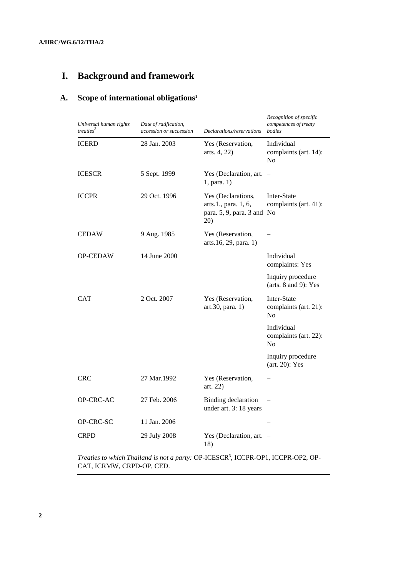# **I. Background and framework**

# **A. Scope of international obligations<sup>1</sup>**

| Universal human rights<br>treaties <sup>2</sup> | Date of ratification,<br>accession or succession | Declarations/reservations                                                       | Recognition of specific<br>competences of treaty<br>bodies |
|-------------------------------------------------|--------------------------------------------------|---------------------------------------------------------------------------------|------------------------------------------------------------|
| <b>ICERD</b>                                    | 28 Jan. 2003                                     | Yes (Reservation,<br>arts. 4, 22)                                               | Individual<br>complaints (art. 14):<br>N <sub>0</sub>      |
| <b>ICESCR</b>                                   | 5 Sept. 1999                                     | Yes (Declaration, art. $-$<br>1, para. 1)                                       |                                                            |
| <b>ICCPR</b>                                    | 29 Oct. 1996                                     | Yes (Declarations,<br>arts.1., para. 1, 6,<br>para. 5, 9, para. 3 and No<br>20) | Inter-State<br>complaints (art. 41):                       |
| <b>CEDAW</b>                                    | 9 Aug. 1985                                      | Yes (Reservation,<br>arts.16, 29, para. 1)                                      |                                                            |
| <b>OP-CEDAW</b>                                 | 14 June 2000                                     |                                                                                 | Individual<br>complaints: Yes                              |
|                                                 |                                                  |                                                                                 | Inquiry procedure<br>(arts. $8$ and $9$ ): Yes             |
| <b>CAT</b>                                      | 2 Oct. 2007                                      | Yes (Reservation,<br>art.30, para. 1)                                           | Inter-State<br>complaints (art. 21):<br>N <sub>0</sub>     |
|                                                 |                                                  |                                                                                 | Individual<br>complaints (art. 22):<br>N <sub>0</sub>      |
|                                                 |                                                  |                                                                                 | Inquiry procedure<br>$(art. 20)$ : Yes                     |
| <b>CRC</b>                                      | 27 Mar.1992                                      | Yes (Reservation,<br>art. 22)                                                   |                                                            |
| OP-CRC-AC                                       | 27 Feb. 2006                                     | Binding declaration<br>under art. 3: 18 years                                   |                                                            |
| OP-CRC-SC                                       | 11 Jan. 2006                                     |                                                                                 |                                                            |
| <b>CRPD</b>                                     | 29 July 2008                                     | Yes (Declaration, art. $-$<br>18)                                               |                                                            |

*Treaties to which Thailand is not a party:* OP-ICESCR<sup>3</sup> , ICCPR-OP1, ICCPR-OP2, OP-CAT, ICRMW, CRPD-OP, CED.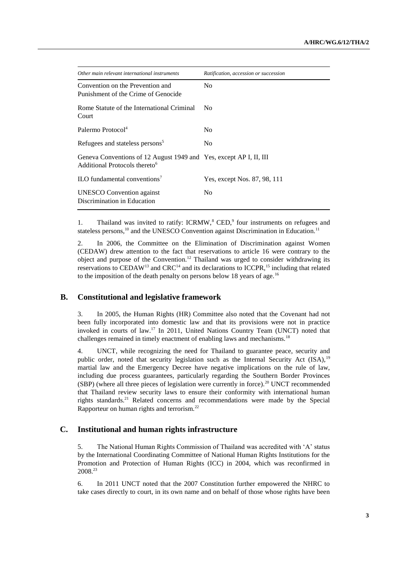| Other main relevant international instruments                                                                   | Ratification, accession or succession |
|-----------------------------------------------------------------------------------------------------------------|---------------------------------------|
| Convention on the Prevention and<br>Punishment of the Crime of Genocide                                         | N <sub>0</sub>                        |
| Rome Statute of the International Criminal<br>Court                                                             | N <sub>0</sub>                        |
| Palermo Protocol <sup>4</sup>                                                                                   | N <sub>0</sub>                        |
| Refugees and stateless persons <sup>5</sup>                                                                     | N <sub>0</sub>                        |
| Geneva Conventions of 12 August 1949 and Yes, except AP I, II, III<br>Additional Protocols thereto <sup>6</sup> |                                       |
| ILO fundamental conventions <sup>7</sup>                                                                        | Yes, except Nos. 87, 98, 111          |
| <b>UNESCO</b> Convention against<br>Discrimination in Education                                                 | N <sub>0</sub>                        |

1. Thailand was invited to ratify: ICRMW,<sup>8</sup> CED,<sup>9</sup> four instruments on refugees and stateless persons,<sup>10</sup> and the UNESCO Convention against Discrimination in Education.<sup>11</sup>

2. In 2006, the Committee on the Elimination of Discrimination against Women (CEDAW) drew attention to the fact that reservations to article 16 were contrary to the object and purpose of the Convention.<sup>12</sup> Thailand was urged to consider withdrawing its reservations to CEDAW<sup>13</sup> and CRC<sup>14</sup> and its declarations to ICCPR,<sup>15</sup> including that related to the imposition of the death penalty on persons below 18 years of age.<sup>16</sup>

# **B. Constitutional and legislative framework**

3. In 2005, the Human Rights (HR) Committee also noted that the Covenant had not been fully incorporated into domestic law and that its provisions were not in practice invoked in courts of law.<sup>17</sup> In 2011, United Nations Country Team (UNCT) noted that challenges remained in timely enactment of enabling laws and mechanisms.<sup>18</sup>

4. UNCT, while recognizing the need for Thailand to guarantee peace, security and public order, noted that security legislation such as the Internal Security Act  $(ISA)$ ,  $19$ martial law and the Emergency Decree have negative implications on the rule of law, including due process guarantees, particularly regarding the Southern Border Provinces (SBP) (where all three pieces of legislation were currently in force).<sup>20</sup> UNCT recommended that Thailand review security laws to ensure their conformity with international human rights standards.<sup>21</sup> Related concerns and recommendations were made by the Special Rapporteur on human rights and terrorism.<sup>22</sup>

#### **C. Institutional and human rights infrastructure**

5. The National Human Rights Commission of Thailand was accredited with "A" status by the International Coordinating Committee of National Human Rights Institutions for the Promotion and Protection of Human Rights (ICC) in 2004, which was reconfirmed in 2008.<sup>23</sup>

6. In 2011 UNCT noted that the 2007 Constitution further empowered the NHRC to take cases directly to court, in its own name and on behalf of those whose rights have been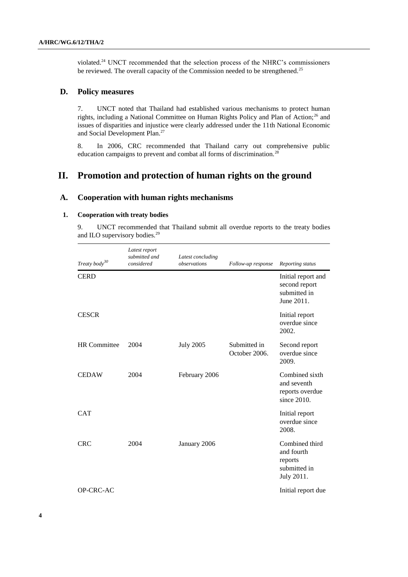violated.<sup>24</sup> UNCT recommended that the selection process of the NHRC"s commissioners be reviewed. The overall capacity of the Commission needed to be strengthened.<sup>25</sup>

### **D. Policy measures**

7. UNCT noted that Thailand had established various mechanisms to protect human rights, including a National Committee on Human Rights Policy and Plan of Action;<sup>26</sup> and issues of disparities and injustice were clearly addressed under the 11th National Economic and Social Development Plan.<sup>27</sup>

8. In 2006, CRC recommended that Thailand carry out comprehensive public education campaigns to prevent and combat all forms of discrimination.<sup>28</sup>

# **II. Promotion and protection of human rights on the ground**

### **A. Cooperation with human rights mechanisms**

### **1. Cooperation with treaty bodies**

9. UNCT recommended that Thailand submit all overdue reports to the treaty bodies and ILO supervisory bodies.<sup>29</sup>

| Treaty body <sup>30</sup> | Latest report<br>submitted and<br>considered | Latest concluding<br>observations | Follow-up response            | Reporting status                                                      |
|---------------------------|----------------------------------------------|-----------------------------------|-------------------------------|-----------------------------------------------------------------------|
| <b>CERD</b>               |                                              |                                   |                               | Initial report and<br>second report<br>submitted in<br>June 2011.     |
| <b>CESCR</b>              |                                              |                                   |                               | Initial report<br>overdue since<br>2002.                              |
| <b>HR</b> Committee       | 2004                                         | <b>July 2005</b>                  | Submitted in<br>October 2006. | Second report<br>overdue since<br>2009.                               |
| <b>CEDAW</b>              | 2004                                         | February 2006                     |                               | Combined sixth<br>and seventh<br>reports overdue<br>since 2010.       |
| <b>CAT</b>                |                                              |                                   |                               | Initial report<br>overdue since<br>2008.                              |
| <b>CRC</b>                | 2004                                         | January 2006                      |                               | Combined third<br>and fourth<br>reports<br>submitted in<br>July 2011. |
| OP-CRC-AC                 |                                              |                                   |                               | Initial report due                                                    |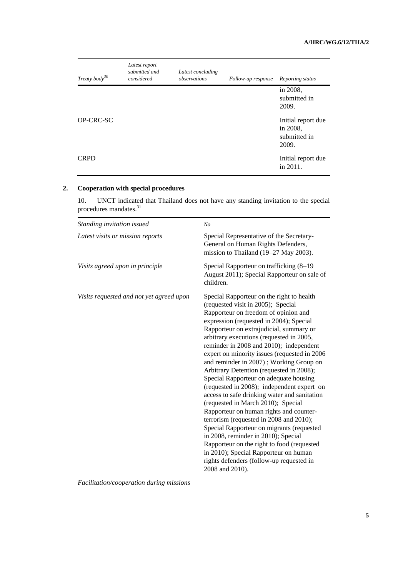| Treaty body <sup>30</sup> | Latest report<br>submitted and<br>considered | Latest concluding<br>observations | Follow-up response | Reporting status                                        |
|---------------------------|----------------------------------------------|-----------------------------------|--------------------|---------------------------------------------------------|
|                           |                                              |                                   |                    | in 2008,<br>submitted in<br>2009.                       |
| <b>OP-CRC-SC</b>          |                                              |                                   |                    | Initial report due<br>in 2008,<br>submitted in<br>2009. |
| <b>CRPD</b>               |                                              |                                   |                    | Initial report due<br>in $2011$ .                       |

# **2. Cooperation with special procedures**

10. UNCT indicated that Thailand does not have any standing invitation to the special procedures mandates.<sup>31</sup>

| Standing invitation issued               | N <sub>O</sub>                                                                                                                                                                                                                                                                                                                                                                                                                                                                                                                                                                                                                                                                                                                                                                                                                                                                                                                                             |
|------------------------------------------|------------------------------------------------------------------------------------------------------------------------------------------------------------------------------------------------------------------------------------------------------------------------------------------------------------------------------------------------------------------------------------------------------------------------------------------------------------------------------------------------------------------------------------------------------------------------------------------------------------------------------------------------------------------------------------------------------------------------------------------------------------------------------------------------------------------------------------------------------------------------------------------------------------------------------------------------------------|
| Latest visits or mission reports         | Special Representative of the Secretary-<br>General on Human Rights Defenders,<br>mission to Thailand (19-27 May 2003).                                                                                                                                                                                                                                                                                                                                                                                                                                                                                                                                                                                                                                                                                                                                                                                                                                    |
| Visits agreed upon in principle          | Special Rapporteur on trafficking (8-19)<br>August 2011); Special Rapporteur on sale of<br>children.                                                                                                                                                                                                                                                                                                                                                                                                                                                                                                                                                                                                                                                                                                                                                                                                                                                       |
| Visits requested and not yet agreed upon | Special Rapporteur on the right to health<br>(requested visit in 2005); Special<br>Rapporteur on freedom of opinion and<br>expression (requested in 2004); Special<br>Rapporteur on extrajudicial, summary or<br>arbitrary executions (requested in 2005,<br>reminder in 2008 and 2010); independent<br>expert on minority issues (requested in 2006)<br>and reminder in 2007); Working Group on<br>Arbitrary Detention (requested in 2008);<br>Special Rapporteur on adequate housing<br>(requested in 2008); independent expert on<br>access to safe drinking water and sanitation<br>(requested in March 2010); Special<br>Rapporteur on human rights and counter-<br>terrorism (requested in 2008 and 2010);<br>Special Rapporteur on migrants (requested<br>in 2008, reminder in 2010); Special<br>Rapporteur on the right to food (requested<br>in 2010); Special Rapporteur on human<br>rights defenders (follow-up requested in<br>2008 and 2010). |

*Facilitation/cooperation during missions*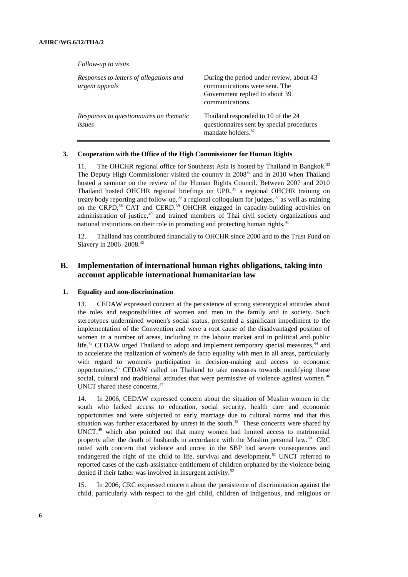| Follow-up to visits                                       |                                                                                                                                |
|-----------------------------------------------------------|--------------------------------------------------------------------------------------------------------------------------------|
| Responses to letters of allegations and<br>urgent appeals | During the period under review, about 43<br>communications were sent. The<br>Government replied to about 39<br>communications. |
| Responses to questionnaires on thematic<br>issues         | Thailand responded to 10 of the 24<br>questionnaires sent by special procedures<br>mandate holders. <sup>32</sup>              |

#### **3. Cooperation with the Office of the High Commissioner for Human Rights**

11. The OHCHR regional office for Southeast Asia is hosted by Thailand in Bangkok.<sup>33</sup> The Deputy High Commissioner visited the country in 2008<sup>34</sup> and in 2010 when Thailand hosted a seminar on the review of the Human Rights Council. Between 2007 and 2010 Thailand hosted OHCHR regional briefings on UPR, $35$  a regional OHCHR training on treaty body reporting and follow-up,<sup>36</sup> a regional colloquium for judges,<sup>37</sup> as well as training on the CRPD,<sup>38</sup> CAT and CERD.<sup>39</sup> OHCHR engaged in capacity-building activities on administration of justice,<sup>40</sup> and trained members of Thai civil society organizations and national institutions on their role in promoting and protecting human rights.<sup>41</sup>

12. Thailand has contributed financially to OHCHR since 2000 and to the Trust Fund on Slavery in 2006–2008.<sup>42</sup>

### **B. Implementation of international human rights obligations, taking into account applicable international humanitarian law**

#### **1. Equality and non-discrimination**

13. CEDAW expressed concern at the persistence of strong stereotypical attitudes about the roles and responsibilities of women and men in the family and in society. Such stereotypes undermined women's social status, presented a significant impediment to the implementation of the Convention and were a root cause of the disadvantaged position of women in a number of areas, including in the labour market and in political and public life.<sup>43</sup> CEDAW urged Thailand to adopt and implement temporary special measures,<sup>44</sup> and to accelerate the realization of women's de facto equality with men in all areas, particularly with regard to women's participation in decision-making and access to economic opportunities.<sup>45</sup> CEDAW called on Thailand to take measures towards modifying those social, cultural and traditional attitudes that were permissive of violence against women.<sup>46</sup> UNCT shared these concerns.<sup>47</sup>

14. In 2006, CEDAW expressed concern about the situation of Muslim women in the south who lacked access to education, social security, health care and economic opportunities and were subjected to early marriage due to cultural norms and that this situation was further exacerbated by unrest in the south. $48$  These concerns were shared by UNCT, <sup>49</sup> which also pointed out that many women had limited access to matrimonial property after the death of husbands in accordance with the Muslim personal law.<sup>50</sup> CRC noted with concern that violence and unrest in the SBP had severe consequences and endangered the right of the child to life, survival and development.<sup>51</sup> UNCT referred to reported cases of the cash-assistance entitlement of children orphaned by the violence being denied if their father was involved in insurgent activity.<sup>52</sup>

15. In 2006, CRC expressed concern about the persistence of discrimination against the child, particularly with respect to the girl child, children of indigenous, and religious or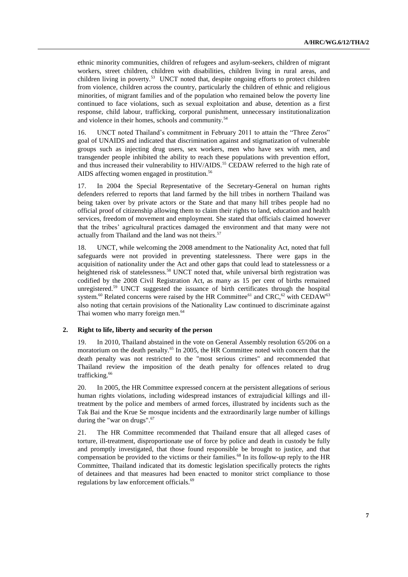ethnic minority communities, children of refugees and asylum-seekers, children of migrant workers, street children, children with disabilities, children living in rural areas, and children living in poverty.<sup>53</sup> UNCT noted that, despite ongoing efforts to protect children from violence, children across the country, particularly the children of ethnic and religious minorities, of migrant families and of the population who remained below the poverty line continued to face violations, such as sexual exploitation and abuse, detention as a first response, child labour, trafficking, corporal punishment, unnecessary institutionalization and violence in their homes, schools and community.<sup>54</sup>

16. UNCT noted Thailand"s commitment in February 2011 to attain the "Three Zeros" goal of UNAIDS and indicated that discrimination against and stigmatization of vulnerable groups such as injecting drug users, sex workers, men who have sex with men, and transgender people inhibited the ability to reach these populations with prevention effort, and thus increased their vulnerability to HIV/AIDS.<sup>55</sup> CEDAW referred to the high rate of AIDS affecting women engaged in prostitution.<sup>56</sup>

17. In 2004 the Special Representative of the Secretary-General on human rights defenders referred to reports that land farmed by the hill tribes in northern Thailand was being taken over by private actors or the State and that many hill tribes people had no official proof of citizenship allowing them to claim their rights to land, education and health services, freedom of movement and employment. She stated that officials claimed however that the tribes" agricultural practices damaged the environment and that many were not actually from Thailand and the land was not theirs.<sup>57</sup>

18. UNCT, while welcoming the 2008 amendment to the Nationality Act, noted that full safeguards were not provided in preventing statelessness. There were gaps in the acquisition of nationality under the Act and other gaps that could lead to statelessness or a heightened risk of statelessness.<sup>58</sup> UNCT noted that, while universal birth registration was codified by the 2008 Civil Registration Act, as many as 15 per cent of births remained unregistered.<sup>59</sup> UNCT suggested the issuance of birth certificates through the hospital system.<sup>60</sup> Related concerns were raised by the HR Committee<sup>61</sup> and CRC,<sup>62</sup> with CEDAW<sup>63</sup> also noting that certain provisions of the Nationality Law continued to discriminate against Thai women who marry foreign men.<sup>64</sup>

### **2. Right to life, liberty and security of the person**

19. In 2010, Thailand abstained in the vote on General Assembly resolution 65/206 on a moratorium on the death penalty.<sup>65</sup> In 2005, the HR Committee noted with concern that the death penalty was not restricted to the "most serious crimes" and recommended that Thailand review the imposition of the death penalty for offences related to drug trafficking.<sup>66</sup>

20. In 2005, the HR Committee expressed concern at the persistent allegations of serious human rights violations, including widespread instances of extrajudicial killings and illtreatment by the police and members of armed forces, illustrated by incidents such as the Tak Bai and the Krue Se mosque incidents and the extraordinarily large number of killings during the "war on drugs".<sup>67</sup>

21. The HR Committee recommended that Thailand ensure that all alleged cases of torture, ill-treatment, disproportionate use of force by police and death in custody be fully and promptly investigated, that those found responsible be brought to justice, and that compensation be provided to the victims or their families.<sup>68</sup> In its follow-up reply to the HR Committee, Thailand indicated that its domestic legislation specifically protects the rights of detainees and that measures had been enacted to monitor strict compliance to those regulations by law enforcement officials.<sup>69</sup>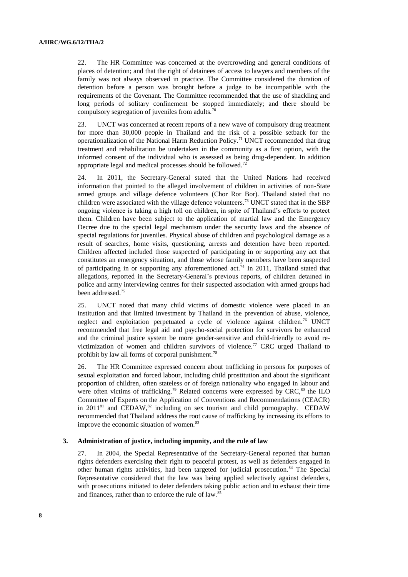22. The HR Committee was concerned at the overcrowding and general conditions of places of detention; and that the right of detainees of access to lawyers and members of the family was not always observed in practice. The Committee considered the duration of detention before a person was brought before a judge to be incompatible with the requirements of the Covenant. The Committee recommended that the use of shackling and long periods of solitary confinement be stopped immediately; and there should be compulsory segregation of juveniles from adults.<sup>70</sup>

23. UNCT was concerned at recent reports of a new wave of compulsory drug treatment for more than 30,000 people in Thailand and the risk of a possible setback for the operationalization of the National Harm Reduction Policy.<sup>71</sup> UNCT recommended that drug treatment and rehabilitation be undertaken in the community as a first option, with the informed consent of the individual who is assessed as being drug-dependent. In addition appropriate legal and medical processes should be followed.<sup>72</sup>

24. In 2011, the Secretary-General stated that the United Nations had received information that pointed to the alleged involvement of children in activities of non-State armed groups and village defence volunteers (Chor Ror Bor). Thailand stated that no children were associated with the village defence volunteers.<sup>73</sup> UNCT stated that in the SBP ongoing violence is taking a high toll on children, in spite of Thailand"s efforts to protect them. Children have been subject to the application of martial law and the Emergency Decree due to the special legal mechanism under the security laws and the absence of special regulations for juveniles. Physical abuse of children and psychological damage as a result of searches, home visits, questioning, arrests and detention have been reported. Children affected included those suspected of participating in or supporting any act that constitutes an emergency situation, and those whose family members have been suspected of participating in or supporting any aforementioned act.<sup>74</sup> In 2011, Thailand stated that allegations, reported in the Secretary-General"s previous reports, of children detained in police and army interviewing centres for their suspected association with armed groups had been addressed.<sup>75</sup>

25. UNCT noted that many child victims of domestic violence were placed in an institution and that limited investment by Thailand in the prevention of abuse, violence, neglect and exploitation perpetuated a cycle of violence against children.<sup>76</sup> UNCT recommended that free legal aid and psycho-social protection for survivors be enhanced and the criminal justice system be more gender-sensitive and child-friendly to avoid revictimization of women and children survivors of violence.<sup>77</sup> CRC urged Thailand to prohibit by law all forms of corporal punishment.<sup>78</sup>

26. The HR Committee expressed concern about trafficking in persons for purposes of sexual exploitation and forced labour, including child prostitution and about the significant proportion of children, often stateless or of foreign nationality who engaged in labour and were often victims of trafficking.<sup>79</sup> Related concerns were expressed by  $CRC$ , $^{80}$  the ILO Committee of Experts on the Application of Conventions and Recommendations (CEACR) in 2011<sup>81</sup> and CEDAW,<sup>82</sup> including on sex tourism and child pornography. CEDAW recommended that Thailand address the root cause of trafficking by increasing its efforts to improve the economic situation of women.<sup>83</sup>

#### **3. Administration of justice, including impunity, and the rule of law**

27. In 2004, the Special Representative of the Secretary-General reported that human rights defenders exercising their right to peaceful protest, as well as defenders engaged in other human rights activities, had been targeted for judicial prosecution.<sup>84</sup> The Special Representative considered that the law was being applied selectively against defenders, with prosecutions initiated to deter defenders taking public action and to exhaust their time and finances, rather than to enforce the rule of law.<sup>8</sup>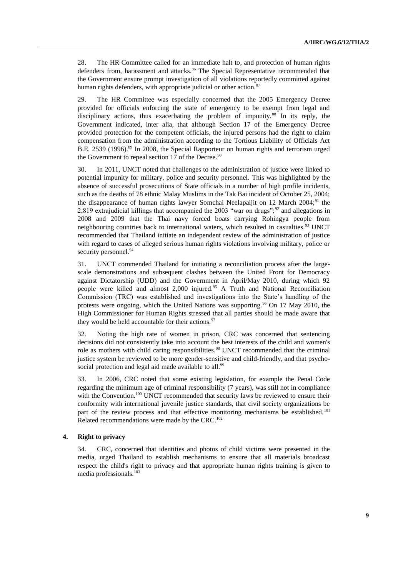28. The HR Committee called for an immediate halt to, and protection of human rights defenders from, harassment and attacks.<sup>86</sup> The Special Representative recommended that the Government ensure prompt investigation of all violations reportedly committed against human rights defenders, with appropriate judicial or other action. $87$ 

29. The HR Committee was especially concerned that the 2005 Emergency Decree provided for officials enforcing the state of emergency to be exempt from legal and disciplinary actions, thus exacerbating the problem of impunity.<sup>88</sup> In its reply, the Government indicated, inter alia, that although Section 17 of the Emergency Decree provided protection for the competent officials, the injured persons had the right to claim compensation from the administration according to the Tortious Liability of Officials Act B.E. 2539 (1996).<sup>89</sup> In 2008, the Special Rapporteur on human rights and terrorism urged the Government to repeal section 17 of the Decree. $90$ 

30. In 2011, UNCT noted that challenges to the administration of justice were linked to potential impunity for military, police and security personnel. This was highlighted by the absence of successful prosecutions of State officials in a number of high profile incidents, such as the deaths of 78 ethnic Malay Muslims in the Tak Bai incident of October 25, 2004; the disappearance of human rights lawyer Somchai Neelapaijit on 12 March  $2004$ ;<sup>91</sup> the 2,819 extrajudicial killings that accompanied the 2003 "war on drugs";<sup>92</sup> and allegations in 2008 and 2009 that the Thai navy forced boats carrying Rohingya people from neighbouring countries back to international waters, which resulted in casualties.<sup>93</sup> UNCT recommended that Thailand initiate an independent review of the administration of justice with regard to cases of alleged serious human rights violations involving military, police or security personnel.<sup>94</sup>

31. UNCT commended Thailand for initiating a reconciliation process after the largescale demonstrations and subsequent clashes between the United Front for Democracy against Dictatorship (UDD) and the Government in April/May 2010, during which 92 people were killed and almost 2,000 injured.<sup>95</sup> A Truth and National Reconciliation Commission (TRC) was established and investigations into the State"s handling of the protests were ongoing, which the United Nations was supporting.<sup>96</sup> On 17 May 2010, the High Commissioner for Human Rights stressed that all parties should be made aware that they would be held accountable for their actions. $97$ 

32. Noting the high rate of women in prison, CRC was concerned that sentencing decisions did not consistently take into account the best interests of the child and women's role as mothers with child caring responsibilities.<sup>98</sup> UNCT recommended that the criminal justice system be reviewed to be more gender-sensitive and child-friendly, and that psychosocial protection and legal aid made available to all.<sup>99</sup>

33. In 2006, CRC noted that some existing legislation, for example the Penal Code regarding the minimum age of criminal responsibility (7 years), was still not in compliance with the Convention.<sup>100</sup> UNCT recommended that security laws be reviewed to ensure their conformity with international juvenile justice standards, that civil society organizations be part of the review process and that effective monitoring mechanisms be established.<sup>101</sup> Related recommendations were made by the CRC.<sup>102</sup>

#### **4. Right to privacy**

34. CRC, concerned that identities and photos of child victims were presented in the media, urged Thailand to establish mechanisms to ensure that all materials broadcast respect the child's right to privacy and that appropriate human rights training is given to media professionals.<sup>103</sup>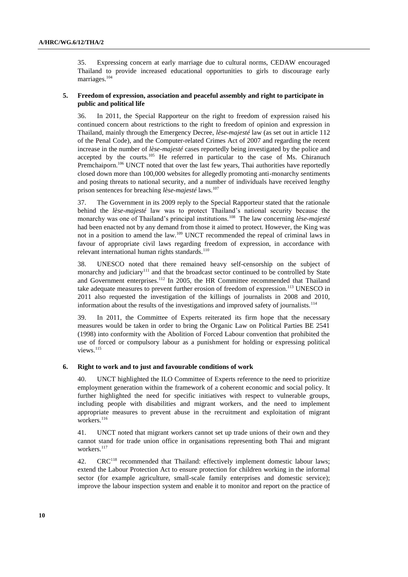35. Expressing concern at early marriage due to cultural norms, CEDAW encouraged Thailand to provide increased educational opportunities to girls to discourage early marriages.<sup>104</sup>

#### **5. Freedom of expression, association and peaceful assembly and right to participate in public and political life**

36. In 2011, the Special Rapporteur on the right to freedom of expression raised his continued concern about restrictions to the right to freedom of opinion and expression in Thailand, mainly through the Emergency Decree, *lèse-majesté* law (as set out in article 112 of the Penal Code), and the Computer-related Crimes Act of 2007 and regarding the recent increase in the number of *lèse-majesté* cases reportedly being investigated by the police and accepted by the courts.<sup>105</sup> He referred in particular to the case of Ms. Chiranuch Premchaiporn.<sup>106</sup> UNCT noted that over the last few years, Thai authorities have reportedly closed down more than 100,000 websites for allegedly promoting anti-monarchy sentiments and posing threats to national security, and a number of individuals have received lengthy prison sentences for breaching *lèse-majesté* laws.<sup>107</sup>

37. The Government in its 2009 reply to the Special Rapporteur stated that the rationale behind the *lèse-majesté* law was to protect Thailand"s national security because the monarchy was one of Thailand"s principal institutions.<sup>108</sup> The law concerning *lèse-majesté* had been enacted not by any demand from those it aimed to protect. However, the King was not in a position to amend the law.<sup>109</sup> UNCT recommended the repeal of criminal laws in favour of appropriate civil laws regarding freedom of expression, in accordance with relevant international human rights standards. $110$ 

38. UNESCO noted that there remained heavy self-censorship on the subject of monarchy and judiciary<sup>111</sup> and that the broadcast sector continued to be controlled by State and Government enterprises.<sup>112</sup> In 2005, the HR Committee recommended that Thailand take adequate measures to prevent further erosion of freedom of expression.<sup>113</sup> UNESCO in 2011 also requested the investigation of the killings of journalists in 2008 and 2010, information about the results of the investigations and improved safety of journalists.<sup>114</sup>

39. In 2011, the Committee of Experts reiterated its firm hope that the necessary measures would be taken in order to bring the Organic Law on Political Parties BE 2541 (1998) into conformity with the Abolition of Forced Labour convention that prohibited the use of forced or compulsory labour as a punishment for holding or expressing political views.<sup>115</sup>

#### **6. Right to work and to just and favourable conditions of work**

40. UNCT highlighted the ILO Committee of Experts reference to the need to prioritize employment generation within the framework of a coherent economic and social policy. It further highlighted the need for specific initiatives with respect to vulnerable groups, including people with disabilities and migrant workers, and the need to implement appropriate measures to prevent abuse in the recruitment and exploitation of migrant workers.<sup>116</sup>

41. UNCT noted that migrant workers cannot set up trade unions of their own and they cannot stand for trade union office in organisations representing both Thai and migrant workers.<sup>117</sup>

42. CRC<sup>118</sup> recommended that Thailand: effectively implement domestic labour laws; extend the Labour Protection Act to ensure protection for children working in the informal sector (for example agriculture, small-scale family enterprises and domestic service); improve the labour inspection system and enable it to monitor and report on the practice of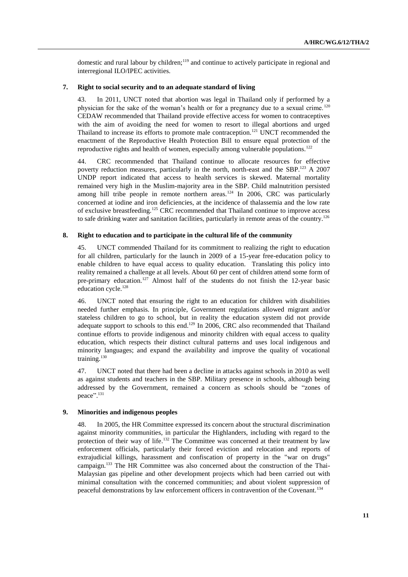domestic and rural labour by children;<sup>119</sup> and continue to actively participate in regional and interregional ILO/IPEC activities.

#### **7. Right to social security and to an adequate standard of living**

43. In 2011, UNCT noted that abortion was legal in Thailand only if performed by a physician for the sake of the woman"s health or for a pregnancy due to a sexual crime. <sup>120</sup> CEDAW recommended that Thailand provide effective access for women to contraceptives with the aim of avoiding the need for women to resort to illegal abortions and urged Thailand to increase its efforts to promote male contraception.<sup>121</sup> UNCT recommended the enactment of the Reproductive Health Protection Bill to ensure equal protection of the reproductive rights and health of women, especially among vulnerable populations.<sup>122</sup>

44. CRC recommended that Thailand continue to allocate resources for effective poverty reduction measures, particularly in the north, north-east and the SBP.<sup>123</sup> A 2007 UNDP report indicated that access to health services is skewed. Maternal mortality remained very high in the Muslim-majority area in the SBP. Child malnutrition persisted among hill tribe people in remote northern areas.<sup>124</sup> In 2006, CRC was particularly concerned at iodine and iron deficiencies, at the incidence of thalassemia and the low rate of exclusive breastfeeding.<sup>125</sup> CRC recommended that Thailand continue to improve access to safe drinking water and sanitation facilities, particularly in remote areas of the country.<sup>126</sup>

#### **8. Right to education and to participate in the cultural life of the community**

45. UNCT commended Thailand for its commitment to realizing the right to education for all children, particularly for the launch in 2009 of a 15-year free-education policy to enable children to have equal access to quality education. Translating this policy into reality remained a challenge at all levels. About 60 per cent of children attend some form of pre-primary education.<sup>127</sup> Almost half of the students do not finish the 12-year basic education cycle.<sup>128</sup>

46. UNCT noted that ensuring the right to an education for children with disabilities needed further emphasis. In principle, Government regulations allowed migrant and/or stateless children to go to school, but in reality the education system did not provide adequate support to schools to this end.<sup>129</sup> In 2006, CRC also recommended that Thailand continue efforts to provide indigenous and minority children with equal access to quality education, which respects their distinct cultural patterns and uses local indigenous and minority languages; and expand the availability and improve the quality of vocational training.<sup>130</sup>

47. UNCT noted that there had been a decline in attacks against schools in 2010 as well as against students and teachers in the SBP. Military presence in schools, although being addressed by the Government, remained a concern as schools should be "zones of peace". 131

#### **9. Minorities and indigenous peoples**

48. In 2005, the HR Committee expressed its concern about the structural discrimination against minority communities, in particular the Highlanders, including with regard to the protection of their way of life.<sup>132</sup> The Committee was concerned at their treatment by law enforcement officials, particularly their forced eviction and relocation and reports of extrajudicial killings, harassment and confiscation of property in the "war on drugs" campaign.<sup>133</sup> The HR Committee was also concerned about the construction of the Thai-Malaysian gas pipeline and other development projects which had been carried out with minimal consultation with the concerned communities; and about violent suppression of peaceful demonstrations by law enforcement officers in contravention of the Covenant.<sup>134</sup>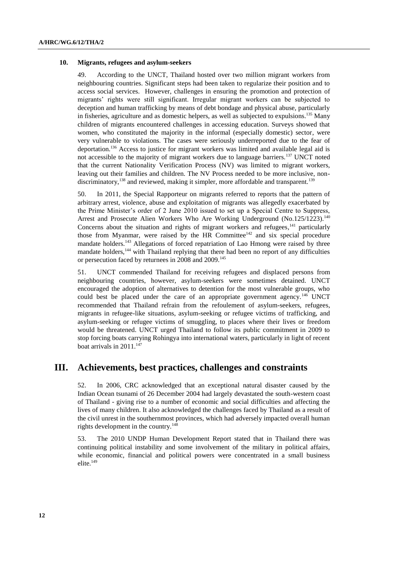#### **10. Migrants, refugees and asylum-seekers**

49. According to the UNCT, Thailand hosted over two million migrant workers from neighbouring countries. Significant steps had been taken to regularize their position and to access social services. However, challenges in ensuring the promotion and protection of migrants" rights were still significant. Irregular migrant workers can be subjected to deception and human trafficking by means of debt bondage and physical abuse, particularly in fisheries, agriculture and as domestic helpers, as well as subjected to expulsions.<sup>135</sup> Many children of migrants encountered challenges in accessing education. Surveys showed that women, who constituted the majority in the informal (especially domestic) sector, were very vulnerable to violations. The cases were seriously underreported due to the fear of deportation.<sup>136</sup> Access to justice for migrant workers was limited and available legal aid is not accessible to the majority of migrant workers due to language barriers.<sup>137</sup> UNCT noted that the current Nationality Verification Process (NV) was limited to migrant workers, leaving out their families and children. The NV Process needed to be more inclusive, nondiscriminatory,  $^{138}$  and reviewed, making it simpler, more affordable and transparent.<sup>139</sup>

50. In 2011, the Special Rapporteur on migrants referred to reports that the pattern of arbitrary arrest, violence, abuse and exploitation of migrants was allegedly exacerbated by the Prime Minister"s order of 2 June 2010 issued to set up a Special Centre to Suppress, Arrest and Prosecute Alien Workers Who Are Working Underground (No.125/1223).<sup>140</sup> Concerns about the situation and rights of migrant workers and refugees,<sup>141</sup> particularly those from Myanmar, were raised by the HR Committee<sup>142</sup> and six special procedure mandate holders.<sup>143</sup> Allegations of forced repatriation of Lao Hmong were raised by three mandate holders,<sup>144</sup> with Thailand replying that there had been no report of any difficulties or persecution faced by returnees in 2008 and 2009.<sup>145</sup>

51. UNCT commended Thailand for receiving refugees and displaced persons from neighbouring countries, however, asylum-seekers were sometimes detained. UNCT encouraged the adoption of alternatives to detention for the most vulnerable groups, who could best be placed under the care of an appropriate government agency.<sup>146</sup> UNCT recommended that Thailand refrain from the refoulement of asylum-seekers, refugees, migrants in refugee-like situations, asylum-seeking or refugee victims of trafficking, and asylum-seeking or refugee victims of smuggling, to places where their lives or freedom would be threatened. UNCT urged Thailand to follow its public commitment in 2009 to stop forcing boats carrying Rohingya into international waters, particularly in light of recent boat arrivals in  $2011$ .<sup>147</sup>

# **III. Achievements, best practices, challenges and constraints**

52. In 2006, CRC acknowledged that an exceptional natural disaster caused by the Indian Ocean tsunami of 26 December 2004 had largely devastated the south-western coast of Thailand - giving rise to a number of economic and social difficulties and affecting the lives of many children. It also acknowledged the challenges faced by Thailand as a result of the civil unrest in the southernmost provinces, which had adversely impacted overall human rights development in the country.<sup>148</sup>

53. The 2010 UNDP Human Development Report stated that in Thailand there was continuing political instability and some involvement of the military in political affairs, while economic, financial and political powers were concentrated in a small business elite.<sup>149</sup>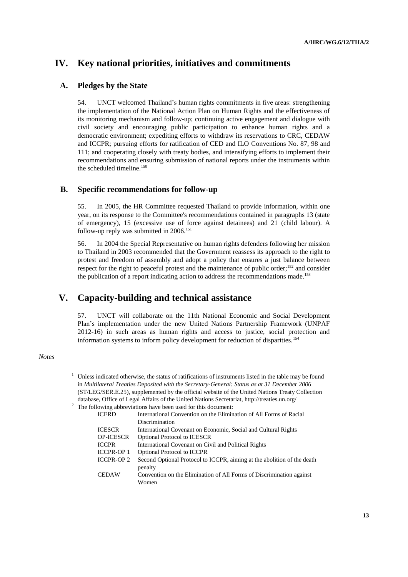# **IV. Key national priorities, initiatives and commitments**

### **A. Pledges by the State**

54. UNCT welcomed Thailand"s human rights commitments in five areas: strengthening the implementation of the National Action Plan on Human Rights and the effectiveness of its monitoring mechanism and follow-up; continuing active engagement and dialogue with civil society and encouraging public participation to enhance human rights and a democratic environment; expediting efforts to withdraw its reservations to CRC, CEDAW and ICCPR; pursuing efforts for ratification of CED and ILO Conventions No. 87, 98 and 111; and cooperating closely with treaty bodies, and intensifying efforts to implement their recommendations and ensuring submission of national reports under the instruments within the scheduled timeline.<sup>150</sup>

### **B. Specific recommendations for follow-up**

55. In 2005, the HR Committee requested Thailand to provide information, within one year, on its response to the Committee's recommendations contained in paragraphs 13 (state of emergency), 15 (excessive use of force against detainees) and 21 (child labour). A follow-up reply was submitted in  $2006$ .<sup>151</sup>

56. In 2004 the Special Representative on human rights defenders following her mission to Thailand in 2003 recommended that the Government reassess its approach to the right to protest and freedom of assembly and adopt a policy that ensures a just balance between respect for the right to peaceful protest and the maintenance of public order;<sup>152</sup> and consider the publication of a report indicating action to address the recommendations made.<sup>153</sup>

# **V. Capacity-building and technical assistance**

57. UNCT will collaborate on the 11th National Economic and Social Development Plan"s implementation under the new United Nations Partnership Framework (UNPAF 2012-16) in such areas as human rights and access to justice, social protection and information systems to inform policy development for reduction of disparities.<sup>154</sup>

#### *Notes*

 $1$  Unless indicated otherwise, the status of ratifications of instruments listed in the table may be found in *Multilateral Treaties Deposited with the Secretary-General: Status as at 31 December 2006* (ST/LEG/SER.E.25), supplemented by the official website of the United Nations Treaty Collection database, Office of Legal Affairs of the United Nations Secretariat, http://treaties.un.org/  $2$  The following abbreviations have been used for this document: ICERD International Convention on the Elimination of All Forms of Racial

| International Convention on the Emmination of All Forms of Racial       |
|-------------------------------------------------------------------------|
| Discrimination                                                          |
| International Covenant on Economic, Social and Cultural Rights          |
| <b>Optional Protocol to ICESCR</b>                                      |
| International Covenant on Civil and Political Rights                    |
| <b>Optional Protocol to ICCPR</b>                                       |
| Second Optional Protocol to ICCPR, aiming at the abolition of the death |
| penalty                                                                 |
| Convention on the Elimination of All Forms of Discrimination against    |
| Women                                                                   |
|                                                                         |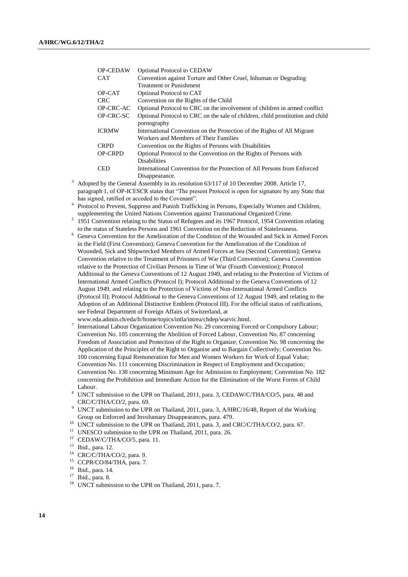| <b>OP-CEDAW</b> | <b>Optional Protocol to CEDAW</b>                                              |
|-----------------|--------------------------------------------------------------------------------|
| <b>CAT</b>      | Convention against Torture and Other Cruel, Inhuman or Degrading               |
|                 | <b>Treatment or Punishment</b>                                                 |
| OP-CAT          | Optional Protocol to CAT                                                       |
| <b>CRC</b>      | Convention on the Rights of the Child                                          |
| OP-CRC-AC       | Optional Protocol to CRC on the involvement of children in armed conflict      |
| OP-CRC-SC       | Optional Protocol to CRC on the sale of children, child prostitution and child |
|                 | pornography                                                                    |
| <b>ICRMW</b>    | International Convention on the Protection of the Rights of All Migrant        |
|                 | Workers and Members of Their Families                                          |
| <b>CRPD</b>     | Convention on the Rights of Persons with Disabilities                          |
| <b>OP-CRPD</b>  | Optional Protocol to the Convention on the Rights of Persons with              |
|                 | <b>Disabilities</b>                                                            |
| <b>CED</b>      | International Convention for the Protection of All Persons from Enforced       |
|                 | Disappearance.                                                                 |

 $3$  Adopted by the General Assembly in its resolution 63/117 of 10 December 2008. Article 17, paragraph 1, of OP-ICESCR states that "The present Protocol is open for signature by any State that has signed, ratified or acceded to the Covenant".

<sup>4</sup> Protocol to Prevent, Suppress and Punish Trafficking in Persons, Especially Women and Children, supplementing the United Nations Convention against Transnational Organized Crime.

- <sup>5</sup> 1951 Convention relating to the Status of Refugees and its 1967 Protocol, 1954 Convention relating to the status of Stateless Persons and 1961 Convention on the Reduction of Statelessness.
- <sup>6</sup> Geneva Convention for the Amelioration of the Condition of the Wounded and Sick in Armed Forces in the Field (First Convention); Geneva Convention for the Amelioration of the Condition of Wounded, Sick and Shipwrecked Members of Armed Forces at Sea (Second Convention); Geneva Convention relative to the Treatment of Prisoners of War (Third Convention); Geneva Convention relative to the Protection of Civilian Persons in Time of War (Fourth Convention); Protocol Additional to the Geneva Conventions of 12 August 1949, and relating to the Protection of Victims of International Armed Conflicts (Protocol I); Protocol Additional to the Geneva Conventions of 12 August 1949, and relating to the Protection of Victims of Non-International Armed Conflicts (Protocol II); Protocol Additional to the Geneva Conventions of 12 August 1949, and relating to the Adoption of an Additional Distinctive Emblem (Protocol III). For the official status of ratifications, see Federal Department of Foreign Affairs of Switzerland, at

- 7 International Labour Organization Convention No. 29 concerning Forced or Compulsory Labour; Convention No. 105 concerning the Abolition of Forced Labour, Convention No. 87 concerning Freedom of Association and Protection of the Right to Organize; Convention No. 98 concerning the Application of the Principles of the Right to Organise and to Bargain Collectively; Convention No. 100 concerning Equal Remuneration for Men and Women Workers for Work of Equal Value; Convention No. 111 concerning Discrimination in Respect of Employment and Occupation; Convention No. 138 concerning Minimum Age for Admission to Employment; Convention No. 182 concerning the Prohibition and Immediate Action for the Elimination of the Worst Forms of Child Labour.
- <sup>8</sup> UNCT submission to the UPR on Thailand, 2011, para. 3, CEDAW/C/THA/CO/5, para. 48 and CRC/C/THA/CO/2, para. 69.
- <sup>9</sup> UNCT submission to the UPR on Thailand, 2011, para. 3, A/HRC/16/48, Report of the Working Group on Enforced and Involuntary Disappearances, para. 479.
- <sup>10</sup> UNCT submission to the UPR on Thailand, 2011, para. 3, and CRC/C/THA/CO/2, para. 67.
- <sup>11</sup> UNESCO submission to the UPR on Thailand, 2011, para. 26.
- <sup>12</sup> CEDAW/C/THA/CO/5, para. 11.
- <sup>13</sup> Ibid., para. 12.
- <sup>14</sup> CRC/C/THA/CO/2, para. 9.<br><sup>15</sup> CCPR/CO/84/THA para. 7
- $^{15}$  CCPR/CO/84/THA, para. 7.
- $\frac{16}{17}$  Ibid., para. 14.
- Ibid., para. 8.
- <sup>18</sup> UNCT submission to the UPR on Thailand, 2011, para. 7.

www.eda.admin.ch/eda/fr/home/topics/intla/intrea/chdep/warvic.html.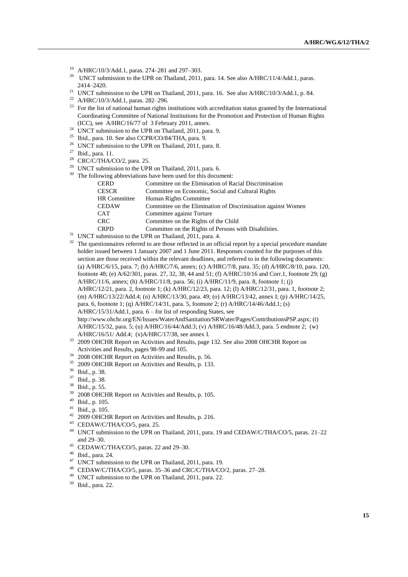- <sup>19</sup> A/HRC/10/3/Add.1, paras. 274–281 and 297–303.
- <sup>20</sup> UNCT submission to the UPR on Thailand, 2011, para. 14. See also A/HRC/11/4/Add.1, paras. 2414–2420.
- <sup>21</sup> UNCT submission to the UPR on Thailand, 2011, para. 16. See also A/HRC/10/3/Add.1, p. 84.
- <sup>22</sup> A/HRC/10/3/Add.1, paras. 282–296.
- <sup>23</sup> For the list of national human rights institutions with accreditation status granted by the International Coordinating Committee of National Institutions for the Promotion and Protection of Human Rights (ICC), see A/HRC/16/77 of 3 February 2011, annex.
- <sup>24</sup> UNCT submission to the UPR on Thailand, 2011, para. 9.
- <sup>25</sup> Ibid., para. 10. See also CCPR/CO/84/THA, para. 9.
- <sup>26</sup> UNCT submission to the UPR on Thailand, 2011, para. 8.
- <sup>27</sup> Ibid., para. 11.
- <sup>28</sup> CRC/C/THA/CO/2, para. 25.
- <sup>29</sup> UNCT submission to the UPR on Thailand, 2011, para. 6.  $30$  The fo

| llowing abbreviations have been used for this document: |                                                              |  |  |
|---------------------------------------------------------|--------------------------------------------------------------|--|--|
| <b>CERD</b>                                             | Committee on the Elimination of Racial Discrimination        |  |  |
| <b>CESCR</b>                                            | Committee on Economic, Social and Cultural Rights            |  |  |
| <b>HR</b> Committee                                     | Human Rights Committee                                       |  |  |
| <b>CEDAW</b>                                            | Committee on the Elimination of Discrimination against Women |  |  |
| <b>CAT</b>                                              | Committee against Torture                                    |  |  |
| <b>CRC</b>                                              | Committee on the Rights of the Child                         |  |  |
| <b>CRPD</b>                                             | Committee on the Rights of Persons with Disabilities.        |  |  |
|                                                         |                                                              |  |  |

<sup>31</sup> UNCT submission to the UPR on Thailand, 2011, para. 4.

<sup>32</sup> The questionnaires referred to are those reflected in an official report by a special procedure mandate holder issued between 1 January 2007 and 1 June 2011. Responses counted for the purposes of this section are those received within the relevant deadlines, and referred to in the following documents: (a) A/HRC/6/15, para. 7; (b) A/HRC/7/6, annex; (c) A/HRC/7/8, para. 35; (d) A/HRC/8/10, para. 120, footnote 48; (e) A/62/301, paras. 27, 32, 38, 44 and 51; (f) A/HRC/10/16 and Corr.1, footnote 29; (g) A/HRC/11/6, annex; (h) A/HRC/11/8, para. 56; (i) A/HRC/11/9, para. 8, footnote 1; (j) A/HRC/12/21, para. 2, footnote 1; (k) A/HRC/12/23, para. 12; (l) A/HRC/12/31, para. 1, footnote 2; (m) A/HRC/13/22/Add.4; (n) A/HRC/13/30, para. 49; (o) A/HRC/13/42, annex I; (p) A/HRC/14/25, para. 6, footnote 1; (q) A/HRC/14/31, para. 5, footnote 2; (r) A/HRC/14/46/Add.1; (s) A/HRC/15/31/Add.1, para. 6 – for list of responding States, see http://www.ohchr.org/EN/Issues/WaterAndSanitation/SRWater/Pages/ContributionsPSP.aspx; (t) A/HRC/15/32, para. 5; (u) A/HRC/16/44/Add.3; (v) A/HRC/16/48/Add.3, para. 5 endnote 2; (w) A/HRC/16/51/ Add.4; (x)A/HRC/17/38, see annex I.

- <sup>33</sup> 2009 OHCHR Report on Activities and Results, page 132. See also 2008 OHCHR Report on Activities and Results, pages 98-99 and 105.
- <sup>34</sup> 2008 OHCHR Report on Activities and Results, p. 56.
- <sup>35</sup> 2009 OHCHR Report on Activities and Results, p. 133.
- <sup>36</sup> Ibid., p. 38.
- <sup>37</sup> Ibid., p. 38.
- <sup>38</sup> Ibid., p. 55.
- <sup>39</sup> 2008 OHCHR Report on Activities and Results, p. 105.
- <sup>40</sup> Ibid., p. 105.
- <sup>41</sup> Ibid., p. 105.
- <sup>42</sup> 2009 OHCHR Report on Activities and Results, p. 216.
- <sup>43</sup> CEDAW/C/THA/CO/5, para. 25.
- <sup>44</sup> UNCT submission to the UPR on Thailand, 2011, para. 19 and CEDAW/C/THA/CO/5, paras. 21–22 and 29–30.
- <sup>45</sup> CEDAW/C/THA/CO/5, paras. 22 and 29–30.
- <sup>46</sup> Ibid., para. 24.
- <sup>47</sup> UNCT submission to the UPR on Thailand, 2011, para. 19.
- <sup>48</sup> CEDAW/C/THA/CO/5, paras. 35–36 and CRC/C/THA/CO/2, paras. 27–28.
- <sup>49</sup> UNCT submission to the UPR on Thailand, 2011, para. 22.
- <sup>50</sup> Ibid., para. 22.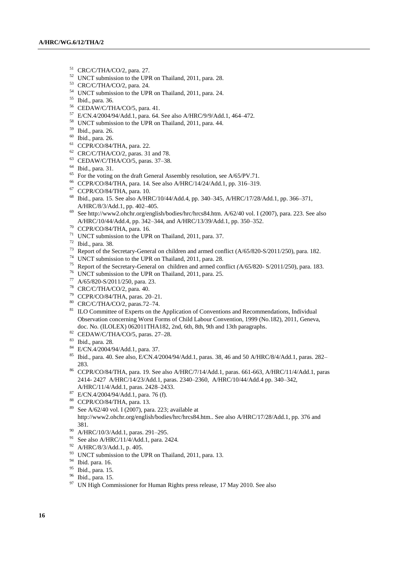- CRC/C/THA/CO/2, para. 27.
- UNCT submission to the UPR on Thailand, 2011, para. 28.
- CRC/C/THA/CO/2, para. 24.
- UNCT submission to the UPR on Thailand, 2011, para. 24.
- Ibid., para. 36.
- CEDAW/C/THA/CO/5, para. 41.
- E/CN.4/2004/94/Add.1, para. 64. See also A/HRC/9/9/Add.1, 464–472.
- UNCT submission to the UPR on Thailand, 2011, para. 44.
- Ibid., para. 26.
- Ibid., para. 26.
- CCPR/CO/84/THA, para. 22.
- CRC/C/THA/CO/2, paras. 31 and 78.
- CEDAW/C/THA/CO/5, paras. 37–38.
- Ibid., para. 31.
- $^{65}$  For the voting on the draft General Assembly resolution, see A/65/PV.71.
- CCPR/CO/84/THA, para. 14. See also A/HRC/14/24/Add.1, pp. 316–319.
- CCPR/CO/84/THA, para. 10.
- Ibid., para. 15. See also A/HRC/10/44/Add.4, pp. 340–345, A/HRC/17/28/Add.1, pp. 366–371, A/HRC/8/3/Add.1, pp. 402–405.
- Se[e http://www2.ohchr.org/english/bodies/hrc/hrcs84.htm.](http://www2.ohchr.org/english/bodies/hrc/hrcs84.htm) A/62/40 vol. I (2007), para. 223. See also A/HRC/10/44/Add.4, pp. 342–344, and A/HRC/13/39/Add.1, pp. 350–352.
- CCPR/CO/84/THA, para. 16.
- UNCT submission to the UPR on Thailand, 2011, para. 37.
- Ibid., para. 38.
- <sup>73</sup> Report of the Secretary-General on children and armed conflict (A/65/820-S/2011/250), para. 182.
- <sup>74</sup> UNCT submission to the UPR on Thailand, 2011, para. 28.<br><sup>75</sup> Penert of the Secretary General on children and armed con-
- Report of the Secretary-General on children and armed conflict *(*A/65/820- S/2011/250), para. 183.
- UNCT submission to the UPR on Thailand, 2011, para. 25.
- A/65/820-S/2011/250, para. 23.
- CRC/C/THA/CO/2, para. 40.
- CCPR/CO/84/THA, paras. 20–21.
- CRC/C/THA/CO/2, paras.72–74.
- <sup>81</sup> ILO Committee of Experts on the Application of Conventions and Recommendations, Individual Observation concerning Worst Forms of Child Labour Convention, 1999 (No.182), 2011, Geneva, doc. No. (ILOLEX) 062011THA182, 2nd, 6th, 8th, 9th and 13th paragraphs.
- CEDAW/C/THA/CO/5, paras. 27–28.
- Ibid., para. 28.
- E/CN.4/2004/94/Add.1, para. 37.
- Ibid., para. 40. See also, E/CN.4/2004/94/Add.1, paras. 38, 46 and 50 A/HRC/8/4/Add.1, paras. 282– 283.
- CCPR/CO/84/THA, para. 19. See also A/HRC/7/14/Add.1, paras. 661-663, A/HRC/11/4/Add.1, paras 2414- 2427 A/HRC/14/23/Add.1, paras. 2340–2360, A/HRC/10/44/Add.4 pp. 340–342, A/HRC/11/4/Add.1, paras. 2428–2433.
- E/CN.4/2004/94/Add.1, para. 76 (f).
- CCPR/CO/84/THA, para. 13.
- See A/62/40 vol. I (2007), para. 223; available at [http://www2.ohchr.org/english/bodies/hrc/hrcs84.htm.](http://www2.ohchr.org/english/bodies/hrc/hrcs84.htm). See also A/HRC/17/28/Add.1, pp. 376 and 381.
- A/HRC/10/3/Add.1, paras. 291–295.
- <sup>91</sup> See also A/HRC/11/4/Add.1, para. 2424.
- A/HRC/8/3/Add.1, p. 405.
- <sup>93</sup> UNCT submission to the UPR on Thailand, 2011, para. 13.
- $\frac{94}{95}$  Ibid. para. 16.
- Ibid., para. 15.
- Ibid., para. 15.
- <sup>97</sup> UN High Commissioner for Human Rights press release, 17 May 2010. See also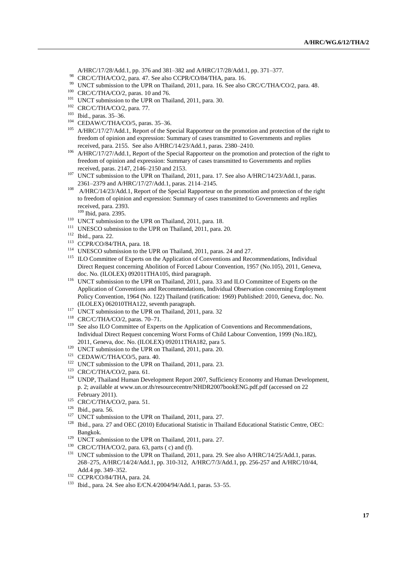A/HRC/17/28/Add.1, pp. 376 and 381–382 and A/HRC/17/28/Add.1, pp. 371–377.

- <sup>98</sup> CRC/C/THA/CO/2, para. 47. See also CCPR/CO/84/THA, para. 16.
- <sup>99</sup> UNCT submission to the UPR on Thailand, 2011, para. 16. See also CRC/C/THA/CO/2, para. 48.
- $100$  CRC/C/THA/CO/2, paras. 10 and 76.
- <sup>101</sup> UNCT submission to the UPR on Thailand, 2011, para. 30.
- <sup>102</sup> CRC/C/THA/CO/2, para. 77.

- <sup>104</sup> CEDAW/C/THA/CO/5, paras. 35-36.
- <sup>105</sup> A/HRC/17/27/Add.1, Report of the Special Rapporteur on the promotion and protection of the right to freedom of opinion and expression: Summary of cases transmitted to Governments and replies received, para. 2155. See also A/HRC/14/23/Add.1, paras. 2380–2410.
- <sup>106</sup> A/HRC/17/27/Add.1, Report of the Special Rapporteur on the promotion and protection of the right to freedom of opinion and expression: Summary of cases transmitted to Governments and replies received*,* paras. 2147, 2146–2150 and 2153.
- 107 UNCT submission to the UPR on Thailand, 2011, para. 17. See also  $A/HRC/14/23/Add.1$ , paras. 2361–2379 and A/HRC/17/27/Add.1, paras. 2114–2145.
- <sup>108</sup> A/HRC/14/23/Add.1, Report of the Special Rapporteur on the promotion and protection of the right to freedom of opinion and expression: Summary of cases transmitted to Governments and replies received, para. 2393.
	- <sup>109</sup> Ibid, para. 2395.
- <sup>110</sup> UNCT submission to the UPR on Thailand, 2011, para. 18.
- <sup>111</sup> UNESCO submission to the UPR on Thailand, 2011, para. 20.
- <sup>112</sup> Ibid., para. 22.
- <sup>113</sup> CCPR/CO/84/THA, para. 18.
- <sup>114</sup> UNESCO submission to the UPR on Thailand, 2011, paras. 24 and 27.
- <sup>115</sup> ILO Committee of Experts on the Application of Conventions and Recommendations, Individual Direct Request concerning Abolition of Forced Labour Convention, 1957 (No.105), 2011, Geneva, doc. No. (ILOLEX) 092011THA105, third paragraph.
- <sup>116</sup> UNCT submission to the UPR on Thailand, 2011, para. 33 and ILO Committee of Experts on the Application of Conventions and Recommendations, Individual Observation concerning Employment Policy Convention, 1964 (No. 122) Thailand (ratification: 1969) Published: 2010, Geneva, doc. No. (ILOLEX) 062010THA122, seventh paragraph.
- <sup>117</sup> UNCT submission to the UPR on Thailand, 2011, para. 32
- <sup>118</sup> CRC/C/THA/CO/2, paras. 70–71.
- <sup>119</sup> See also ILO Committee of Experts on the Application of Conventions and Recommendations, Individual Direct Request concerning Worst Forms of Child Labour Convention, 1999 (No.182), 2011, Geneva, doc. No. (ILOLEX) 092011THA182, para 5.
- <sup>120</sup> UNCT submission to the UPR on Thailand, 2011, para. 20.
- <sup>121</sup> CEDAW/C/THA/CO/5, para. 40.
- <sup>122</sup> UNCT submission to the UPR on Thailand, 2011, para. 23.
- <sup>123</sup> CRC/C/THA/CO/2, para. 61.
- <sup>124</sup> UNDP, Thailand Human Development Report 2007, Sufficiency Economy and Human Development, p. 2; available at www.un.or.th/resourcecentre/NHDR2007bookENG.pdf.pdf (accessed on 22 February 2011).
- $125$  CRC/C/THA/CO/2, para. 51.
- <sup>126</sup> Ibid., para. 56.
- <sup>127</sup> UNCT submission to the UPR on Thailand, 2011, para. 27.
- <sup>128</sup> Ibid., para. 27 and OEC (2010) Educational Statistic in Thailand Educational Statistic Centre, OEC: Bangkok.
- <sup>129</sup> UNCT submission to the UPR on Thailand, 2011, para. 27.
- $130$  CRC/C/THA/CO/2, para. 63, parts (c) and (f).
- <sup>131</sup> UNCT submission to the UPR on Thailand, 2011, para. 29. See also A/HRC/14/25/Add.1, paras. 268–275, A/HRC/14/24/Add.1, pp. 310-312, A/HRC/7/3/Add.1, pp. 256-257 and A/HRC/10/44, Add.4 pp. 349–352.
- <sup>132</sup> CCPR/CO/84/THA, para. 24.
- <sup>133</sup> Ibid., para. 24. See also E/CN.4/2004/94/Add.1, paras. 53–55.

<sup>103</sup> Ibid., paras. 35–36.